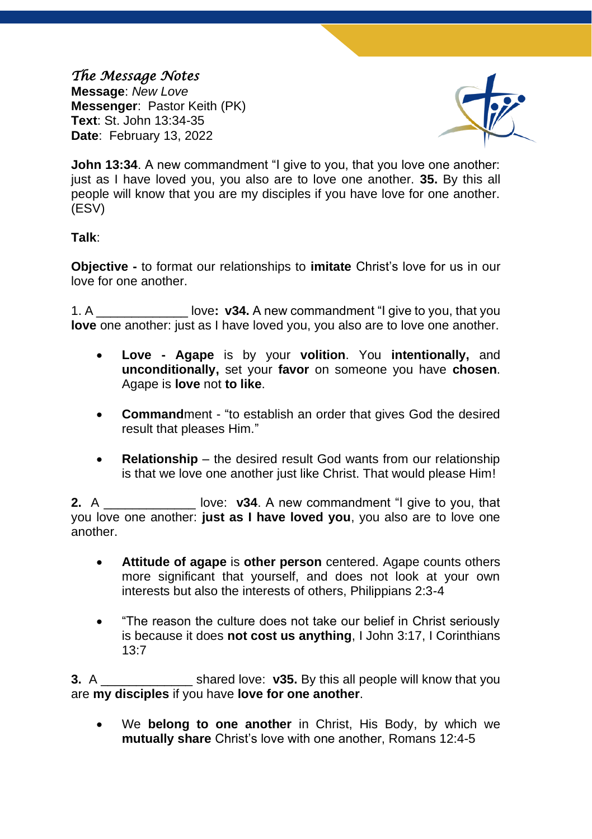# *The Message Notes*

**Message**: *New Love*  **Messenger**: Pastor Keith (PK) **Text**: St. John 13:34-35 **Date**: February 13, 2022



**John 13:34.** A new commandment "I give to you, that you love one another: just as I have loved you, you also are to love one another. **35.** By this all people will know that you are my disciples if you have love for one another. (ESV)

#### **Talk**:

**Objective -** to format our relationships to **imitate** Christ's love for us in our love for one another.

1. A \_\_\_\_\_\_\_\_\_\_\_\_\_ love**: v34.** A new commandment "I give to you, that you **love** one another: just as I have loved you, you also are to love one another.

- **Love - Agape** is by your **volition**. You **intentionally,** and **unconditionally,** set your **favor** on someone you have **chosen**. Agape is **love** not **to like**.
- **Command**ment "to establish an order that gives God the desired result that pleases Him."
- **Relationship** the desired result God wants from our relationship is that we love one another just like Christ. That would please Him!

**2.** A **Love: v34.** A new commandment "I give to you, that you love one another: **just as I have loved you**, you also are to love one another.

- **Attitude of agape** is **other person** centered. Agape counts others more significant that yourself, and does not look at your own interests but also the interests of others, Philippians 2:3-4
- "The reason the culture does not take our belief in Christ seriously is because it does **not cost us anything**, I John 3:17, I Corinthians 13:7

**3.** A \_\_\_\_\_\_\_\_\_\_\_\_\_ shared love: **v35.** By this all people will know that you are **my disciples** if you have **love for one another**.

• We **belong to one another** in Christ, His Body, by which we **mutually share** Christ's love with one another, Romans 12:4-5